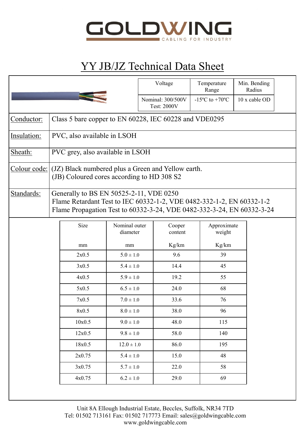

## YY JB/JZ Technical Data Sheet

| $-15^{\circ}$ C to $+70^{\circ}$ C<br>Nominal: 300/500V<br><b>Test: 2000V</b><br>Class 5 bare copper to EN 60228, IEC 60228 and VDE0295<br>Conductor:<br>PVC, also available in LSOH<br>Insulation:<br>PVC grey, also available in LSOH<br>Sheath:<br>Colour code:<br>(JZ) Black numbered plus a Green and Yellow earth.<br>(JB) Coloured cores according to HD 308 S2<br>Standards:<br>Generally to BS EN 50525-2-11, VDE 0250<br>Size<br>Nominal outer<br>Cooper<br>Approximate<br>diameter<br>weight<br>content<br>Kg/km<br>Kg/km<br>mm<br>mm<br>9.6<br>39<br>2x0.5<br>$5.0 \pm 1.0$<br>3x0.5<br>14.4<br>$5.4 \pm 1.0$<br>45<br>4x0.5<br>19.2<br>$5.9 \pm 1.0$<br>55<br>5x0.5<br>$6.5 \pm 1.0$<br>24.0<br>68<br>7x0.5<br>$7.0 \pm 1.0$<br>33.6<br>76<br>8x0.5<br>$8.0 \pm 1.0$<br>38.0<br>96<br>10x0.5<br>48.0<br>$9.0 \pm 1.0$<br>115<br>$9.8 \pm 1.0$<br>12x0.5<br>58.0<br>140<br>86.0<br>18x0.5<br>$12.0 \pm 1.0$<br>195 |  |                                                                                                                                                 |  |  | Voltage | Temperature<br>Range | Min. Bending<br>Radius |  |  |
|--------------------------------------------------------------------------------------------------------------------------------------------------------------------------------------------------------------------------------------------------------------------------------------------------------------------------------------------------------------------------------------------------------------------------------------------------------------------------------------------------------------------------------------------------------------------------------------------------------------------------------------------------------------------------------------------------------------------------------------------------------------------------------------------------------------------------------------------------------------------------------------------------------------------------------|--|-------------------------------------------------------------------------------------------------------------------------------------------------|--|--|---------|----------------------|------------------------|--|--|
|                                                                                                                                                                                                                                                                                                                                                                                                                                                                                                                                                                                                                                                                                                                                                                                                                                                                                                                                |  |                                                                                                                                                 |  |  |         |                      | 10 x cable OD          |  |  |
|                                                                                                                                                                                                                                                                                                                                                                                                                                                                                                                                                                                                                                                                                                                                                                                                                                                                                                                                |  |                                                                                                                                                 |  |  |         |                      |                        |  |  |
|                                                                                                                                                                                                                                                                                                                                                                                                                                                                                                                                                                                                                                                                                                                                                                                                                                                                                                                                |  |                                                                                                                                                 |  |  |         |                      |                        |  |  |
|                                                                                                                                                                                                                                                                                                                                                                                                                                                                                                                                                                                                                                                                                                                                                                                                                                                                                                                                |  |                                                                                                                                                 |  |  |         |                      |                        |  |  |
|                                                                                                                                                                                                                                                                                                                                                                                                                                                                                                                                                                                                                                                                                                                                                                                                                                                                                                                                |  |                                                                                                                                                 |  |  |         |                      |                        |  |  |
|                                                                                                                                                                                                                                                                                                                                                                                                                                                                                                                                                                                                                                                                                                                                                                                                                                                                                                                                |  | Flame Retardant Test to IEC 60332-1-2, VDE 0482-332-1-2, EN 60332-1-2<br>Flame Propagation Test to 60332-3-24, VDE 0482-332-3-24, EN 60332-3-24 |  |  |         |                      |                        |  |  |
|                                                                                                                                                                                                                                                                                                                                                                                                                                                                                                                                                                                                                                                                                                                                                                                                                                                                                                                                |  |                                                                                                                                                 |  |  |         |                      |                        |  |  |
|                                                                                                                                                                                                                                                                                                                                                                                                                                                                                                                                                                                                                                                                                                                                                                                                                                                                                                                                |  |                                                                                                                                                 |  |  |         |                      |                        |  |  |
|                                                                                                                                                                                                                                                                                                                                                                                                                                                                                                                                                                                                                                                                                                                                                                                                                                                                                                                                |  |                                                                                                                                                 |  |  |         |                      |                        |  |  |
|                                                                                                                                                                                                                                                                                                                                                                                                                                                                                                                                                                                                                                                                                                                                                                                                                                                                                                                                |  |                                                                                                                                                 |  |  |         |                      |                        |  |  |
|                                                                                                                                                                                                                                                                                                                                                                                                                                                                                                                                                                                                                                                                                                                                                                                                                                                                                                                                |  |                                                                                                                                                 |  |  |         |                      |                        |  |  |
|                                                                                                                                                                                                                                                                                                                                                                                                                                                                                                                                                                                                                                                                                                                                                                                                                                                                                                                                |  |                                                                                                                                                 |  |  |         |                      |                        |  |  |
|                                                                                                                                                                                                                                                                                                                                                                                                                                                                                                                                                                                                                                                                                                                                                                                                                                                                                                                                |  |                                                                                                                                                 |  |  |         |                      |                        |  |  |
|                                                                                                                                                                                                                                                                                                                                                                                                                                                                                                                                                                                                                                                                                                                                                                                                                                                                                                                                |  |                                                                                                                                                 |  |  |         |                      |                        |  |  |
|                                                                                                                                                                                                                                                                                                                                                                                                                                                                                                                                                                                                                                                                                                                                                                                                                                                                                                                                |  |                                                                                                                                                 |  |  |         |                      |                        |  |  |
|                                                                                                                                                                                                                                                                                                                                                                                                                                                                                                                                                                                                                                                                                                                                                                                                                                                                                                                                |  |                                                                                                                                                 |  |  |         |                      |                        |  |  |
|                                                                                                                                                                                                                                                                                                                                                                                                                                                                                                                                                                                                                                                                                                                                                                                                                                                                                                                                |  |                                                                                                                                                 |  |  |         |                      |                        |  |  |
| 15.0<br>2x0.75<br>48<br>$5.4 \pm 1.0$                                                                                                                                                                                                                                                                                                                                                                                                                                                                                                                                                                                                                                                                                                                                                                                                                                                                                          |  |                                                                                                                                                 |  |  |         |                      |                        |  |  |
| 22.0<br>58<br>3x0.75<br>$5.7 \pm 1.0$                                                                                                                                                                                                                                                                                                                                                                                                                                                                                                                                                                                                                                                                                                                                                                                                                                                                                          |  |                                                                                                                                                 |  |  |         |                      |                        |  |  |
| 29.0<br>$6.2 \pm 1.0$<br>69<br>4x0.75                                                                                                                                                                                                                                                                                                                                                                                                                                                                                                                                                                                                                                                                                                                                                                                                                                                                                          |  |                                                                                                                                                 |  |  |         |                      |                        |  |  |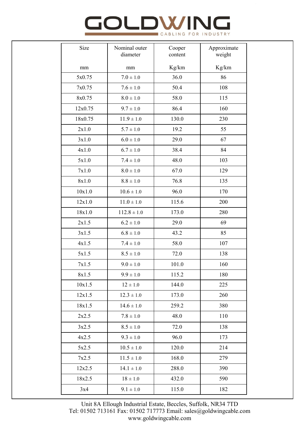## **GOLDWIN** CABLING FOR INDUSTRY

| Size    | Nominal outer<br>diameter | Cooper<br>content | Approximate<br>weight |
|---------|---------------------------|-------------------|-----------------------|
| mm      | mm                        | Kg/km             | $\rm Kg/km$           |
| 5x0.75  | $7.0 \pm 1.0$             | 36.0              | 86                    |
| 7x0.75  | $7.6 \pm 1.0$             | 50.4              | 108                   |
| 8x0.75  | $8.0 \pm 1.0$             | 58.0              | 115                   |
| 12x0.75 | $9.7 \pm 1.0$             | 86.4              | 160                   |
| 18x0.75 | $11.9 \pm 1.0$            | 130.0             | 230                   |
| 2x1.0   | $5.7 \pm 1.0$             | 19.2              | 55                    |
| 3x1.0   | $6.0 \pm 1.0$             | 29.0              | 67                    |
| 4x1.0   | $6.7 \pm 1.0$             | 38.4              | 84                    |
| 5x1.0   | $7.4 \pm 1.0$             | 48.0              | 103                   |
| 7x1.0   | $8.0 \pm 1.0$             | 67.0              | 129                   |
| 8x1.0   | $8.8 \pm 1.0$             | 76.8              | 135                   |
| 10x1.0  | $10.6 \pm 1.0$            | 96.0              | 170                   |
| 12x1.0  | $11.0 \pm 1.0$            | 115.6             | 200                   |
| 18x1.0  | $112.8 \pm 1.0$           | 173.0             | 280                   |
| 2x1.5   | $6.2 \pm 1.0$             | 29.0              | 69                    |
| 3x1.5   | $6.8 \pm 1.0$             | 43.2              | 85                    |
| 4x1.5   | $7.4 \pm 1.0$             | 58.0              | 107                   |
| 5x1.5   | $8.5 \pm 1.0$             | 72.0              | 138                   |
| 7x1.5   | $9.0 \pm 1.0$             | 101.0             | 160                   |
| 8x1.5   | $9.9 \pm 1.0$             | 115.2             | 180                   |
| 10x1.5  | $12 \pm 1.0$              | 144.0             | 225                   |
| 12x1.5  | $12.3 \pm 1.0$            | 173.0             | 260                   |
| 18x1.5  | $14.6 \pm 1.0$            | 259.2             | 380                   |
| 2x2.5   | $7.8 \pm 1.0$             | 48.0              | 110                   |
| 3x2.5   | $8.5 \pm 1.0$             | 72.0              | 138                   |
| 4x2.5   | $9.3 \pm 1.0$             | 96.0              | 173                   |
| 5x2.5   | $10.5 \pm 1.0$            | 120.0             | 214                   |
| 7x2.5   | $11.5 \pm 1.0$            | 168.0             | 279                   |
| 12x2.5  | $14.1 \pm 1.0$            | 288.0             | 390                   |
| 18x2.5  | $18\pm1.0$                | 432.0             | 590                   |
| 3x4     | $9.1 \pm 1.0$             | 115.0             | 182                   |

Unit 8A Ellough Industrial Estate, Beccles, Suffolk, NR34 7TD Tel: 01502 713161 Fax: 01502 717773 Email: sales@goldwingcable.com www.goldwingcable.com